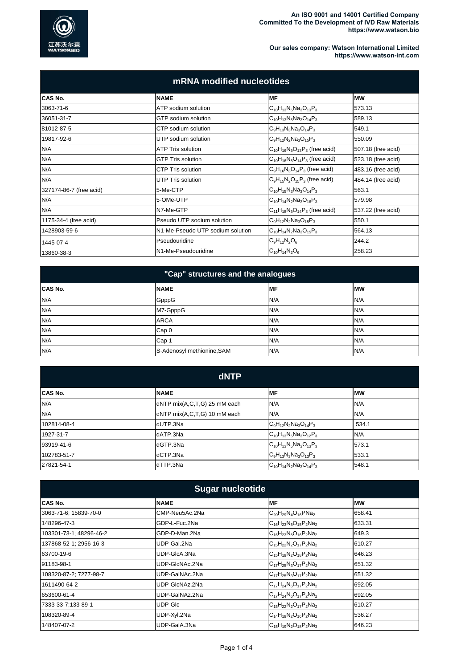

## **Our sales company: Watson International Limited https://www.watson-int.com**

| mRNA modified nucleotides |                                  |                                        |                    |
|---------------------------|----------------------------------|----------------------------------------|--------------------|
| CAS No.                   | <b>NAME</b>                      | MF                                     | <b>IMW</b>         |
| 3063-71-6                 | ATP sodium solution              | $C_{10}H_{13}N_5Na_3O_{13}P_3$         | 573.13             |
| 36051-31-7                | GTP sodium solution              | $C_{10}H_{13}N_5Na_3O_{14}P_3$         | 589.13             |
| 81012-87-5                | CTP sodium solution              | $C_9H_{13}N_3Na_3O_{14}P_3$            | 549.1              |
| 19817-92-6                | UTP sodium solution              | $C_9H_{12}N_2Na_3O_{15}P_3$            | 550.09             |
| N/A                       | <b>ATP Tris solution</b>         | $C_{10}H_{16}N_5O_{13}P_3$ (free acid) | 507.18 (free acid) |
| N/A                       | <b>GTP Tris solution</b>         | $C_{10}H_{16}N_5O_{14}P_3$ (free acid) | 523.18 (free acid) |
| N/A                       | <b>CTP Tris solution</b>         | $C_9H_{16}N_3O_{14}P_3$ (free acid)    | 483.16 (free acid) |
| N/A                       | UTP Tris solution                | $C_9H_{15}N_2O_{15}P_3$ (free acid)    | 484.14 (free acid) |
| 327174-86-7 (free acid)   | 5-Me-CTP                         | $C_{10}H_{15}N_3Na_3O_{14}P_3$         | 563.1              |
| N/A                       | 5-OMe-UTP                        | $C_{10}H_{14}N_2Na_3O_{16}P_3$         | 579.98             |
| N/A                       | N7-Me-GTP                        | $C_{11}H_{18}N_5O_{14}P_3$ (free acid) | 537.22 (free acid) |
| 1175-34-4 (free acid)     | Pseudo UTP sodium solution       | $C_9H_{12}N_2Na_3O_{15}P_3$            | 550.1              |
| 1428903-59-6              | N1-Me-Pseudo UTP sodium solution | $C_{10}H_{14}N_2Na_3O_{15}P_3$         | 564.13             |
| 1445-07-4                 | Pseudouridine                    | $C_9H_{12}N_2O_6$                      | 244.2              |
| 13860-38-3                | N1-Me-Pseudouridine              | $C_{10}H_{14}N_2O_6$                   | 258.23             |

| "Cap" structures and the analogues |                            |           |           |
|------------------------------------|----------------------------|-----------|-----------|
| <b>CAS No.</b>                     | <b>NAME</b>                | <b>MF</b> | <b>MW</b> |
| N/A                                | GpppG                      | N/A       | N/A       |
| N/A                                | M7-GpppG                   | N/A       | N/A       |
| N/A                                | <b>ARCA</b>                | N/A       | N/A       |
| N/A                                | Cap <sub>0</sub>           | N/A       | N/A       |
| N/A                                | Cap 1                      | N/A       | N/A       |
| N/A                                | S-Adenosyl methionine, SAM | N/A       | N/A       |

| dNTP           |                              |                                |           |
|----------------|------------------------------|--------------------------------|-----------|
| <b>CAS No.</b> | <b>NAME</b>                  | <b>MF</b>                      | <b>MW</b> |
| N/A            | dNTP mix(A,C,T,G) 25 mM each | N/A                            | N/A       |
| N/A            | dNTP mix(A,C,T,G) 10 mM each | N/A                            | N/A       |
| 102814-08-4    | dUTP.3Na                     | $C_9H_{12}N_2Na_3O_{14}P_3$    | 534.1     |
| 1927-31-7      | dATP.3Na                     | $C_{10}H_{13}N_5Na_3O_{12}P_3$ | N/A       |
| 93919-41-6     | dGTP.3Na                     | $C_{10}H_{13}N_5Na_3O_{13}P_3$ | 573.1     |
| 102783-51-7    | dCTP.3Na                     | $C_9H_{13}N_3Na_3O_{13}P_3$    | 533.1     |
| 27821-54-1     | dTTP.3Na                     | $C_{10}H_{14}N_2Na_3O_{14}P_3$ | 548.1     |

| <b>Sugar nucleotide</b> |                |                                |           |
|-------------------------|----------------|--------------------------------|-----------|
| CAS No.                 | <b>NAME</b>    | MF                             | <b>MW</b> |
| 3063-71-6; 15839-70-0   | CMP-Neu5Ac.2Na | $C_{20}H_{29}N_4O_{16}PNa_2$   | 658.41    |
| 148296-47-3             | GDP-L-Fuc.2Na  | $C_{16}H_{23}N_5O_{15}P_2Na_2$ | 633.31    |
| 103301-73-1; 48296-46-2 | GDP-D-Man.2Na  | $C_{16}H_{23}N_5O_{16}P_2Na_2$ | 649.3     |
| 137868-52-1; 2956-16-3  | UDP-Gal.2Na    | $C_{15}H_{22}N_2O_{17}P_2Na_2$ | 610.27    |
| 63700-19-6              | UDP-GIcA.3Na   | $C_{15}H_{19}N_2O_{18}P_2Na_3$ | 646.23    |
| 91183-98-1              | UDP-GIcNAc.2Na | $C_{17}H_{25}N_3O_{17}P_2Na_2$ | 651.32    |
| 108320-87-2; 7277-98-7  | UDP-GalNAc.2Na | $C_{17}H_{25}N_3O_{17}P_2Na_2$ | 651.32    |
| 1611490-64-2            | UDP-GIcNAz.2Na | $C_{17}H_{24}N_6O_{17}P_2Na_2$ | 692.05    |
| 653600-61-4             | UDP-GalNAz.2Na | $C_{17}H_{24}N_6O_{17}P_2Na_2$ | 692.05    |
| 7333-33-7;133-89-1      | UDP-GIc        | $C_{15}H_{22}N_2O_{17}P_2Na_2$ | 610.27    |
| 108320-89-4             | UDP-Xyl.2Na    | $C_{14}H_{19}N_2O_{16}P_2Na_2$ | 536.27    |
| 148407-07-2             | UDP-GaIA.3Na   | $C_{15}H_{19}N_2O_{18}P_2Na_3$ | 646.23    |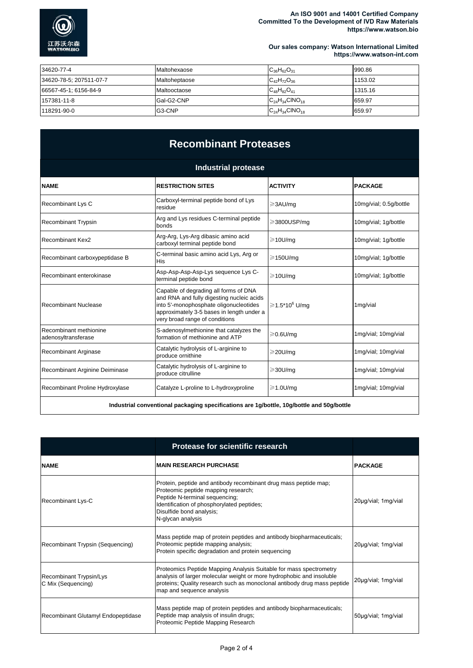

#### **An ISO 9001 and 14001 Certified Company Committed To the Development of IVD Raw Materials https://www.watson.bio**

**Our sales company: Watson International Limited https://www.watson-int.com**

| 34620-77-4              | <b>IMaltohexaose</b> | $C_{36}H_{62}O_{31}$    | 990.86  |
|-------------------------|----------------------|-------------------------|---------|
| 34620-78-5; 207511-07-7 | Maltoheptaose        | $C_{42}H_{72}O_{36}$    | 1153.02 |
| 66567-45-1; 6156-84-9   | Maltooctaose         | $C_{48}H_{82}O_{41}$    | 1315.16 |
| 157381-11-8             | Gal-G2-CNP           | $C_{24}H_{34}CINO_{18}$ | 659.97  |
| 118291-90-0             | G3-CNP               | $C_{24}H_{34}CINO_{18}$ | 659.97  |

# **Recombinant Proteases**

| <b>Industrial protease</b>                    |                                                                                                                                                                                                             |                           |                        |
|-----------------------------------------------|-------------------------------------------------------------------------------------------------------------------------------------------------------------------------------------------------------------|---------------------------|------------------------|
| <b>NAME</b>                                   | <b>RESTRICTION SITES</b>                                                                                                                                                                                    | <b>ACTIVITY</b>           | <b>PACKAGE</b>         |
| Recombinant Lys C                             | Carboxyl-terminal peptide bond of Lys<br>residue                                                                                                                                                            | ≥3AU/mq                   | 10mg/vial; 0.5g/bottle |
| <b>Recombinant Trypsin</b>                    | Arg and Lys residues C-terminal peptide<br>bonds                                                                                                                                                            | ≥3800USP/mq               | 10mg/vial; 1g/bottle   |
| <b>Recombinant Kex2</b>                       | Arg-Arg, Lys-Arg dibasic amino acid<br>carboxyl terminal peptide bond                                                                                                                                       | $\geq$ 10U/mg             | 10mg/vial; 1g/bottle   |
| Recombinant carboxypeptidase B                | C-terminal basic amino acid Lys, Arg or<br>His                                                                                                                                                              | $\geq$ 150U/mq            | 10mg/vial; 1g/bottle   |
| Recombinant enterokinase                      | Asp-Asp-Asp-Asp-Lys sequence Lys C-<br>terminal peptide bond                                                                                                                                                | $\geq$ 10U/mq             | 10mg/vial; 1g/bottle   |
| Recombinant Nuclease                          | Capable of degrading all forms of DNA<br>and RNA and fully digesting nucleic acids<br>into 5'-monophosphate oligonucleotides<br>approximately 3-5 bases in length under a<br>very broad range of conditions | ≧1.5*10 <sup>6</sup> U/mq | 1mg/vial               |
| Recombinant methionine<br>adenosyltransferase | S-adenosylmethionine that catalyzes the<br>formation of methionine and ATP                                                                                                                                  | $\geqslant$ 0.6U/mq       | 1mg/vial; 10mg/vial    |
| <b>Recombinant Arginase</b>                   | Catalytic hydrolysis of L-arginine to<br>produce ornithine                                                                                                                                                  | $\geq$ 20U/mq             | 1mg/vial; 10mg/vial    |
| Recombinant Arginine Deiminase                | Catalytic hydrolysis of L-arginine to<br>produce citrulline                                                                                                                                                 | $\geq$ 30U/mq             | 1mg/vial; 10mg/vial    |
| Recombinant Proline Hydroxylase               | Catalyze L-proline to L-hydroxyproline                                                                                                                                                                      | $\geq 1.0$ U/mq           | 1mg/vial; 10mg/vial    |
|                                               | وعاليه فالمستحلفة والبرقان والغويالية ومواد وموزعوها المومود بوساموس المستلفون بموصل واستوراسها                                                                                                             |                           |                        |

**Industrial conventional packaging specifications are 1g/bottle, 10g/bottle and 50g/bottle**

|                                               | <b>Protease for scientific research</b>                                                                                                                                                                                                              |                     |
|-----------------------------------------------|------------------------------------------------------------------------------------------------------------------------------------------------------------------------------------------------------------------------------------------------------|---------------------|
| <b>NAME</b>                                   | <b>MAIN RESEARCH PURCHASE</b>                                                                                                                                                                                                                        | <b>PACKAGE</b>      |
| Recombinant Lys-C                             | Protein, peptide and antibody recombinant drug mass peptide map;<br>Proteomic peptide mapping research;<br>Peptide N-terminal sequencing;<br>Identification of phosphorylated peptides;<br>Disulfide bond analysis;<br>N-glycan analysis             | 20µg/vial; 1mg/vial |
| Recombinant Trypsin (Sequencing)              | Mass peptide map of protein peptides and antibody biopharmaceuticals;<br>Proteomic peptide mapping analysis;<br>Protein specific degradation and protein sequencing                                                                                  | 20µg/vial; 1mg/vial |
| Recombinant Trypsin/Lys<br>C Mix (Sequencing) | Proteomics Peptide Mapping Analysis Suitable for mass spectrometry<br>analysis of larger molecular weight or more hydrophobic and insoluble<br>proteins; Quality research such as monoclonal antibody drug mass peptide<br>map and sequence analysis | 20µg/vial; 1mg/vial |
| Recombinant Glutamyl Endopeptidase            | Mass peptide map of protein peptides and antibody biopharmaceuticals;<br>Peptide map analysis of insulin drugs;<br>Proteomic Peptide Mapping Research                                                                                                | 50µg/vial; 1mg/vial |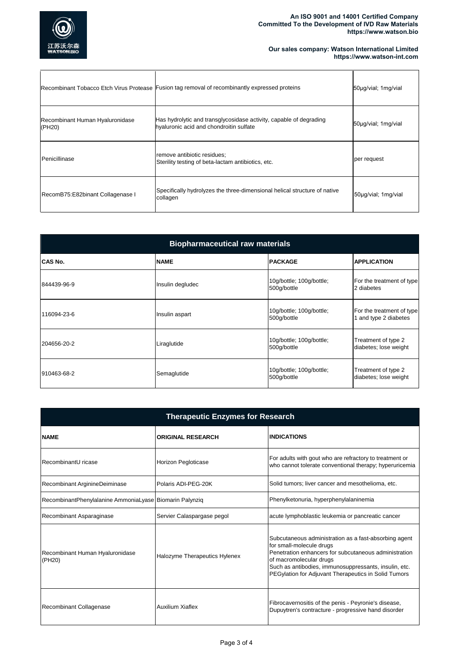

#### **An ISO 9001 and 14001 Certified Company Committed To the Development of IVD Raw Materials https://www.watson.bio**

### **Our sales company: Watson International Limited https://www.watson-int.com**

|                                           | Recombinant Tobacco Etch Virus Protease Fusion tag removal of recombinantly expressed proteins                | 50µg/vial; 1mg/vial |
|-------------------------------------------|---------------------------------------------------------------------------------------------------------------|---------------------|
| Recombinant Human Hyaluronidase<br>(PH20) | Has hydrolytic and transglycosidase activity, capable of degrading<br>hyaluronic acid and chondroitin sulfate | 50µg/vial; 1mg/vial |
| Penicillinase                             | remove antibiotic residues;<br>Sterility testing of beta-lactam antibiotics, etc.                             | per request         |
| RecomB75:E82binant Collagenase I          | Specifically hydrolyzes the three-dimensional helical structure of native<br>collagen                         | 50µg/vial; 1mg/vial |

| <b>Biopharmaceutical raw materials</b> |                  |                                         |                                                    |
|----------------------------------------|------------------|-----------------------------------------|----------------------------------------------------|
| <b>CAS No.</b>                         | <b>NAME</b>      | <b>PACKAGE</b>                          | <b>APPLICATION</b>                                 |
| 844439-96-9                            | Insulin degludec | 10g/bottle; 100g/bottle;<br>500g/bottle | For the treatment of type<br>2 diabetes            |
| 116094-23-6                            | Insulin aspart   | 10g/bottle; 100g/bottle;<br>500g/bottle | For the treatment of type<br>1 and type 2 diabetes |
| 204656-20-2                            | Liraglutide      | 10g/bottle; 100g/bottle;<br>500g/bottle | Treatment of type 2<br>diabetes; lose weight       |
| 910463-68-2                            | Semaglutide      | 10g/bottle; 100g/bottle;<br>500g/bottle | Treatment of type 2<br>diabetes; lose weight       |

| <b>Therapeutic Enzymes for Research</b>                 |                               |                                                                                                                                                                                                                                                                                        |  |
|---------------------------------------------------------|-------------------------------|----------------------------------------------------------------------------------------------------------------------------------------------------------------------------------------------------------------------------------------------------------------------------------------|--|
| <b>NAME</b>                                             | <b>ORIGINAL RESEARCH</b>      | <b>INDICATIONS</b>                                                                                                                                                                                                                                                                     |  |
| RecombinantU ricase                                     | Horizon Pegloticase           | For adults with gout who are refractory to treatment or<br>who cannot tolerate conventional therapy; hyperuricemia                                                                                                                                                                     |  |
| Recombinant ArginineDeiminase                           | Polaris ADI-PEG-20K           | Solid tumors; liver cancer and mesothelioma, etc.                                                                                                                                                                                                                                      |  |
| RecombinantPhenylalanine AmmoniaLyase Biomarin Palynziq |                               | Phenylketonuria, hyperphenylalaninemia                                                                                                                                                                                                                                                 |  |
| Recombinant Asparaginase                                | Servier Calaspargase pegol    | acute lymphoblastic leukemia or pancreatic cancer                                                                                                                                                                                                                                      |  |
| Recombinant Human Hyaluronidase<br>(PH20)               | Halozyme Therapeutics Hylenex | Subcutaneous administration as a fast-absorbing agent<br>for small-molecule drugs<br>Penetration enhancers for subcutaneous administration<br>of macromolecular drugs<br>Such as antibodies, immunosuppressants, insulin, etc.<br>PEGylation for Adjuvant Therapeutics in Solid Tumors |  |
| Recombinant Collagenase                                 | <b>Auxilium Xiaflex</b>       | Fibrocavernositis of the penis - Peyronie's disease,<br>Dupuytren's contracture - progressive hand disorder                                                                                                                                                                            |  |